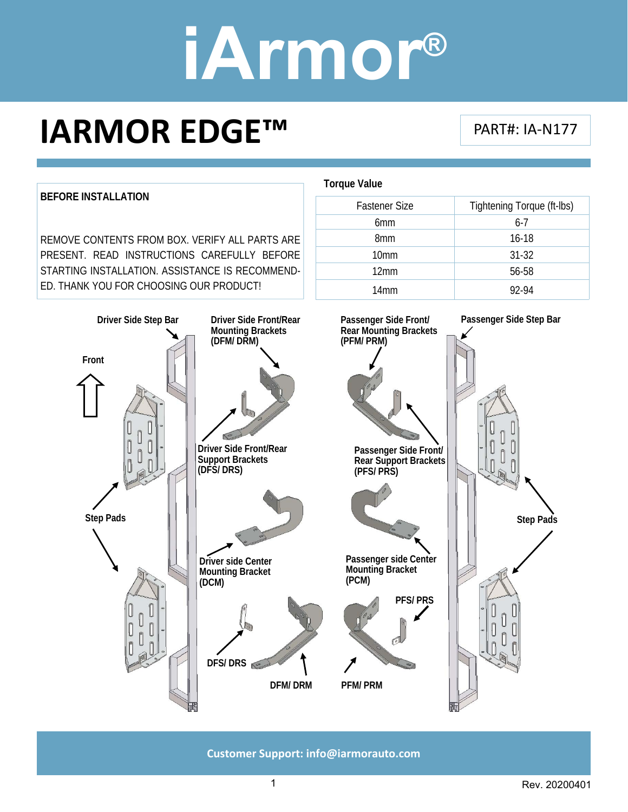### **IARMOR EDGE™**

PART#: IA‐N177



**Customer Support: info@iarmorauto.com** 

1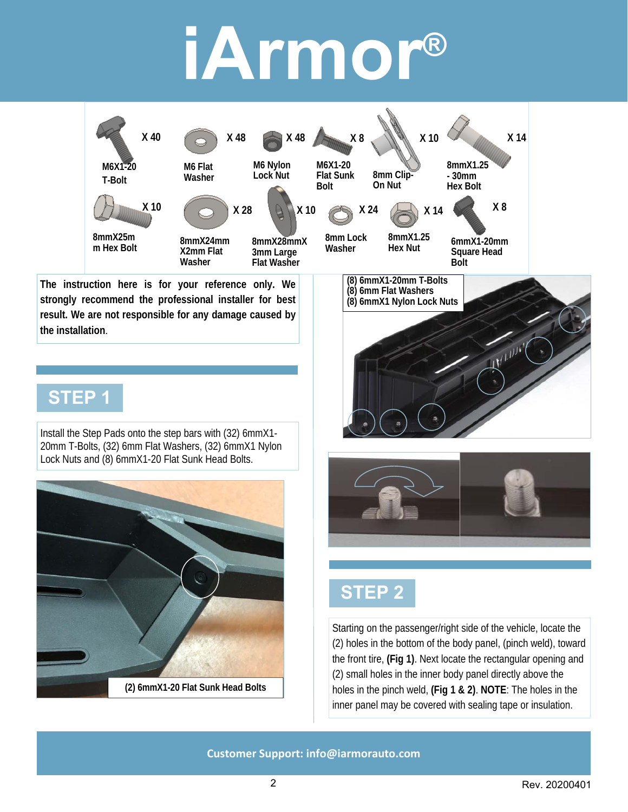

**The instruction here is for your reference only. We strongly recommend the professional installer for best result. We are not responsible for any damage caused by the installation**.

#### **STEP 1**

Install the Step Pads onto the step bars with (32) 6mmX1- 20mm T-Bolts, (32) 6mm Flat Washers, (32) 6mmX1 Nylon Lock Nuts and (8) 6mmX1-20 Flat Sunk Head Bolts.





### **STEP 2**

**(8) 6mm Flat Washers (8) 6mmX1 Nylon Lock Nuts** 

Starting on the passenger/right side of the vehicle, locate the (2) holes in the bottom of the body panel, (pinch weld), toward the front tire, **(Fig 1)**. Next locate the rectangular opening and (2) small holes in the inner body panel directly above the holes in the pinch weld, **(Fig 1 & 2)**. **NOTE**: The holes in the inner panel may be covered with sealing tape or insulation.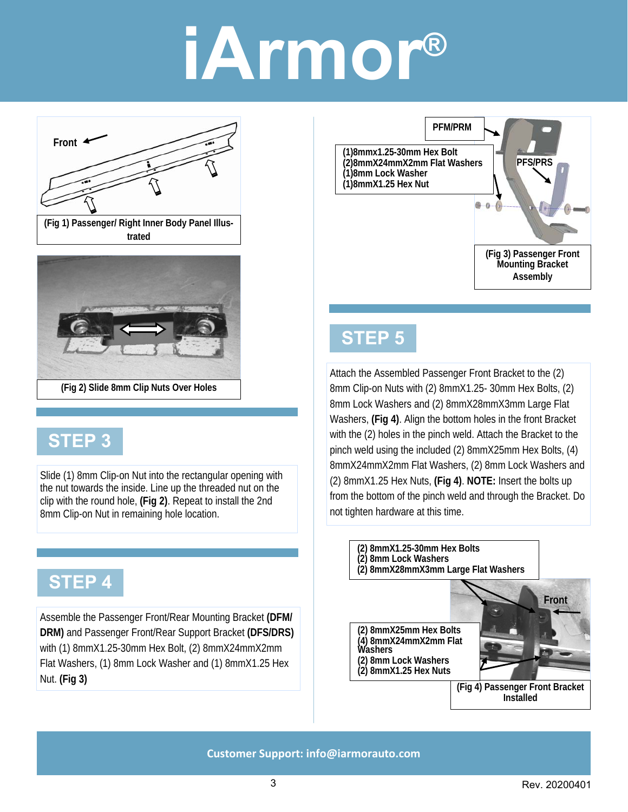



### **STEP 3**

Slide (1) 8mm Clip-on Nut into the rectangular opening with the nut towards the inside. Line up the threaded nut on the clip with the round hole, **(Fig 2)**. Repeat to install the 2nd 8mm Clip-on Nut in remaining hole location.

### **STEP 4**

Assemble the Passenger Front/Rear Mounting Bracket **(DFM/ DRM)** and Passenger Front/Rear Support Bracket **(DFS/DRS)**  with (1) 8mmX1.25-30mm Hex Bolt, (2) 8mmX24mmX2mm Flat Washers, (1) 8mm Lock Washer and (1) 8mmX1.25 Hex Nut. **(Fig 3)**





Attach the Assembled Passenger Front Bracket to the (2) 8mm Clip-on Nuts with (2) 8mmX1.25- 30mm Hex Bolts, (2) 8mm Lock Washers and (2) 8mmX28mmX3mm Large Flat Washers, **(Fig 4)**. Align the bottom holes in the front Bracket with the (2) holes in the pinch weld. Attach the Bracket to the pinch weld using the included (2) 8mmX25mm Hex Bolts, (4) 8mmX24mmX2mm Flat Washers, (2) 8mm Lock Washers and (2) 8mmX1.25 Hex Nuts, **(Fig 4)**. **NOTE:** Insert the bolts up from the bottom of the pinch weld and through the Bracket. Do not tighten hardware at this time.

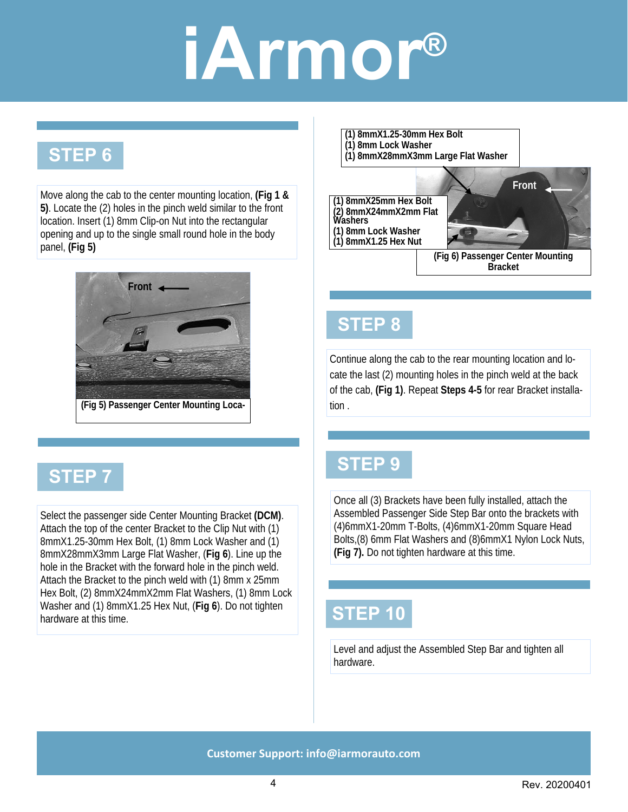### **STEP 6**

Move along the cab to the center mounting location, **(Fig 1 & 5)**. Locate the (2) holes in the pinch weld similar to the front location. Insert (1) 8mm Clip-on Nut into the rectangular opening and up to the single small round hole in the body panel, **(Fig 5)**





Select the passenger side Center Mounting Bracket **(DCM)**. Attach the top of the center Bracket to the Clip Nut with (1) 8mmX1.25-30mm Hex Bolt, (1) 8mm Lock Washer and (1) 8mmX28mmX3mm Large Flat Washer, (**Fig 6**). Line up the hole in the Bracket with the forward hole in the pinch weld. Attach the Bracket to the pinch weld with (1) 8mm x 25mm Hex Bolt, (2) 8mmX24mmX2mm Flat Washers, (1) 8mm Lock Washer and (1) 8mmX1.25 Hex Nut, (**Fig 6**). Do not tighten hardware at this time.



**(Fig 6) Passenger Center Mounting Bracket** 

#### **STEP 8**

Continue along the cab to the rear mounting location and locate the last (2) mounting holes in the pinch weld at the back of the cab, **(Fig 1)**. Repeat **Steps 4-5** for rear Bracket installation .

#### **STEP 9**

Once all (3) Brackets have been fully installed, attach the Assembled Passenger Side Step Bar onto the brackets with (4)6mmX1-20mm T-Bolts, (4)6mmX1-20mm Square Head Bolts,(8) 6mm Flat Washers and (8)6mmX1 Nylon Lock Nuts, **(Fig 7).** Do not tighten hardware at this time.

#### **STEP 10**

Level and adjust the Assembled Step Bar and tighten all hardware.